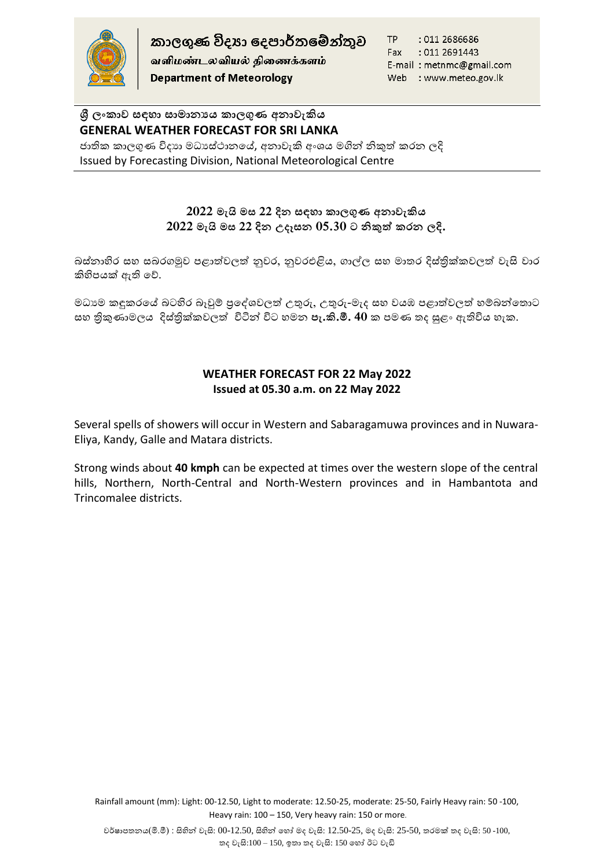

කාලගුණ විදහා දෙපාර්තමේන්තුව

வளிமண்டலவியல் திணைக்களம் **Department of Meteorology** 

TP : 011 2686686 Fax : 011 2691443 E-mail: metnmc@gmail.com Web : www.meteo.gov.lk

# **ශ්රී ලාකාව සඳහා සාමානයය කාලගුණ අනාවැකිය GENERAL WEATHER FORECAST FOR SRI LANKA**

ජාතික කාලගුණ විදාහ මධාස්ථානයේ, අනාවැකි අංශය මගින් නිකුත් කරන ලදි Issued by Forecasting Division, National Meteorological Centre

# **2022 මැයි මස 22 දින සඳහා කාලගුණ අනාවැකිය 2022 මැයි මස 22 දින උදෑසන 05.30 ට නිකුත් කරන ලදි.**

බස්නාහිර සහ සබරගමුව පළාත්වලත් නුවර, නුවරඑළිය, ගාල්ල සහ මාතර දිස්තිුක්කවලත් වැසි වාර කිහිපයක් ඇති හේ.

මධාාම කඳුකරයේ බටහිර බෑවුම් පුදේශවලත් උතුරු, උතුරු-මැද සහ වයඹ පළාත්වලත් හම්බන්තොට සහ තිකුණාමලය දිස්තික්කවලත් විටින් විට හමන **පැ.කි.මී. 40** ක පමණ තද සුළං ඇතිවිය හැක.

### **WEATHER FORECAST FOR 22 May 2022 Issued at 05.30 a.m. on 22 May 2022**

Several spells of showers will occur in Western and Sabaragamuwa provinces and in Nuwara-Eliya, Kandy, Galle and Matara districts.

Strong winds about **40 kmph** can be expected at times over the western slope of the central hills, Northern, North-Central and North-Western provinces and in Hambantota and Trincomalee districts.